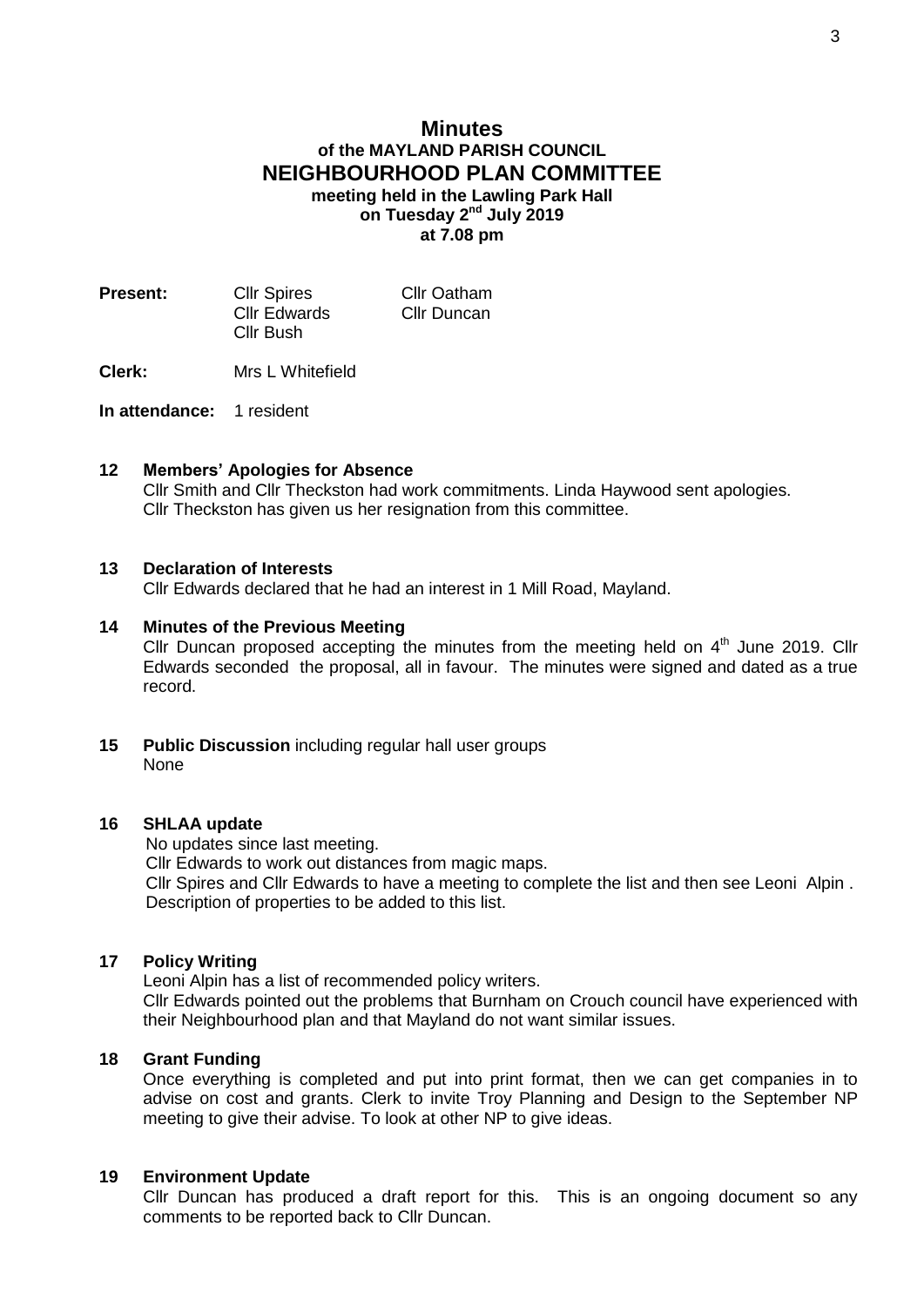# **Minutes of the MAYLAND PARISH COUNCIL NEIGHBOURHOOD PLAN COMMITTEE**

**meeting held in the Lawling Park Hall** on Tuesday 2<sup>nd</sup> July 2019 **at 7.08 pm**

| <b>Present:</b> | <b>Cllr Spires</b>        | Cllr Oatham |
|-----------------|---------------------------|-------------|
|                 | Cllr Edwards<br>Cllr Bush | Cllr Duncan |

**Clerk:** Mrs L Whitefield

**In attendance:** 1 resident

## **12 Members' Apologies for Absence**

Cllr Smith and Cllr Theckston had work commitments. Linda Haywood sent apologies. Cllr Theckston has given us her resignation from this committee.

### **13 Declaration of Interests**

Cllr Edwards declared that he had an interest in 1 Mill Road, Mayland.

### **14 Minutes of the Previous Meeting**

Cllr Duncan proposed accepting the minutes from the meeting held on  $4<sup>th</sup>$  June 2019. Cllr Edwards seconded the proposal, all in favour. The minutes were signed and dated as a true record.

**15 Public Discussion** including regular hall user groups None

#### **16 SHLAA update**

No updates since last meeting.

Cllr Edwards to work out distances from magic maps.

 Cllr Spires and Cllr Edwards to have a meeting to complete the list and then see Leoni Alpin . Description of properties to be added to this list.

# **17 Policy Writing**

Leoni Alpin has a list of recommended policy writers.

Cllr Edwards pointed out the problems that Burnham on Crouch council have experienced with their Neighbourhood plan and that Mayland do not want similar issues.

### **18 Grant Funding**

Once everything is completed and put into print format, then we can get companies in to advise on cost and grants. Clerk to invite Troy Planning and Design to the September NP meeting to give their advise. To look at other NP to give ideas.

# **19 Environment Update**

Cllr Duncan has produced a draft report for this. This is an ongoing document so any comments to be reported back to Cllr Duncan.